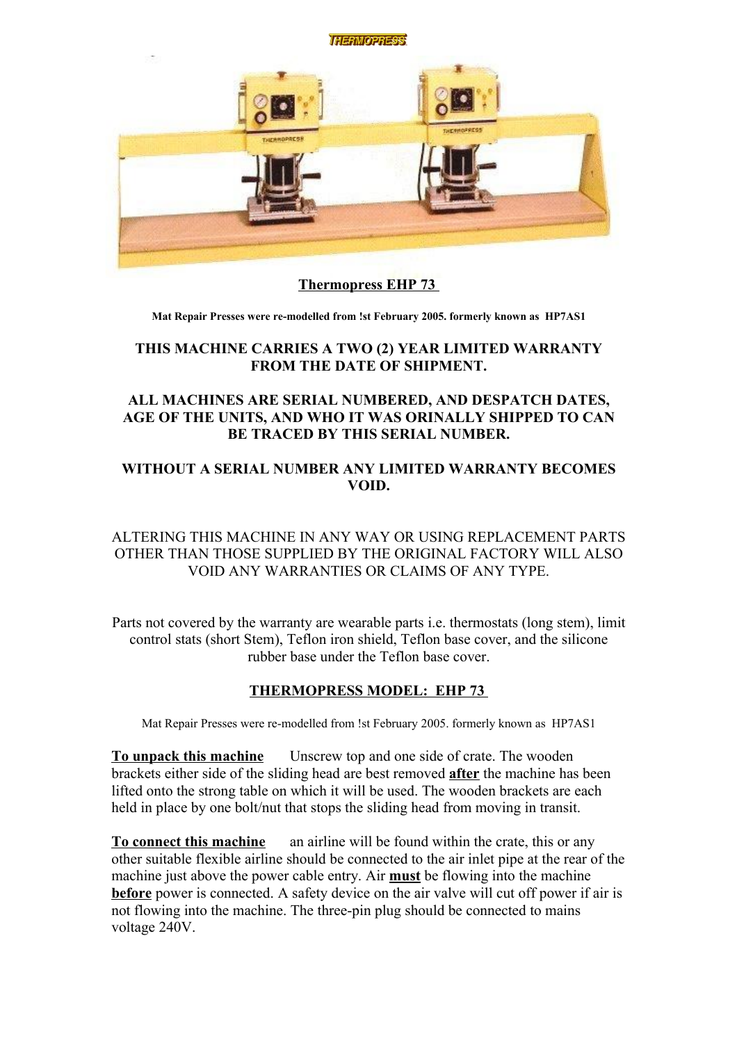

# **Thermopress EHP 73**

**Mat Repair Presses were re-modelled from !st February 2005. formerly known as HP7AS1**

## **THIS MACHINE CARRIES A TWO (2) YEAR LIMITED WARRANTY FROM THE DATE OF SHIPMENT.**

## **ALL MACHINES ARE SERIAL NUMBERED, AND DESPATCH DATES, AGE OF THE UNITS, AND WHO IT WAS ORINALLY SHIPPED TO CAN BE TRACED BY THIS SERIAL NUMBER.**

# **WITHOUT A SERIAL NUMBER ANY LIMITED WARRANTY BECOMES VOID.**

## ALTERING THIS MACHINE IN ANY WAY OR USING REPLACEMENT PARTS OTHER THAN THOSE SUPPLIED BY THE ORIGINAL FACTORY WILL ALSO VOID ANY WARRANTIES OR CLAIMS OF ANY TYPE.

Parts not covered by the warranty are wearable parts i.e. thermostats (long stem), limit control stats (short Stem), Teflon iron shield, Teflon base cover, and the silicone rubber base under the Teflon base cover.

# **THERMOPRESS MODEL: EHP 73**

Mat Repair Presses were re-modelled from !st February 2005. formerly known as HP7AS1

**To unpack this machine** Unscrew top and one side of crate. The wooden brackets either side of the sliding head are best removed **after** the machine has been lifted onto the strong table on which it will be used. The wooden brackets are each held in place by one bolt/nut that stops the sliding head from moving in transit.

**To connect this machine** an airline will be found within the crate, this or any other suitable flexible airline should be connected to the air inlet pipe at the rear of the machine just above the power cable entry. Air **must** be flowing into the machine **before** power is connected. A safety device on the air valve will cut off power if air is not flowing into the machine. The three-pin plug should be connected to mains voltage 240V.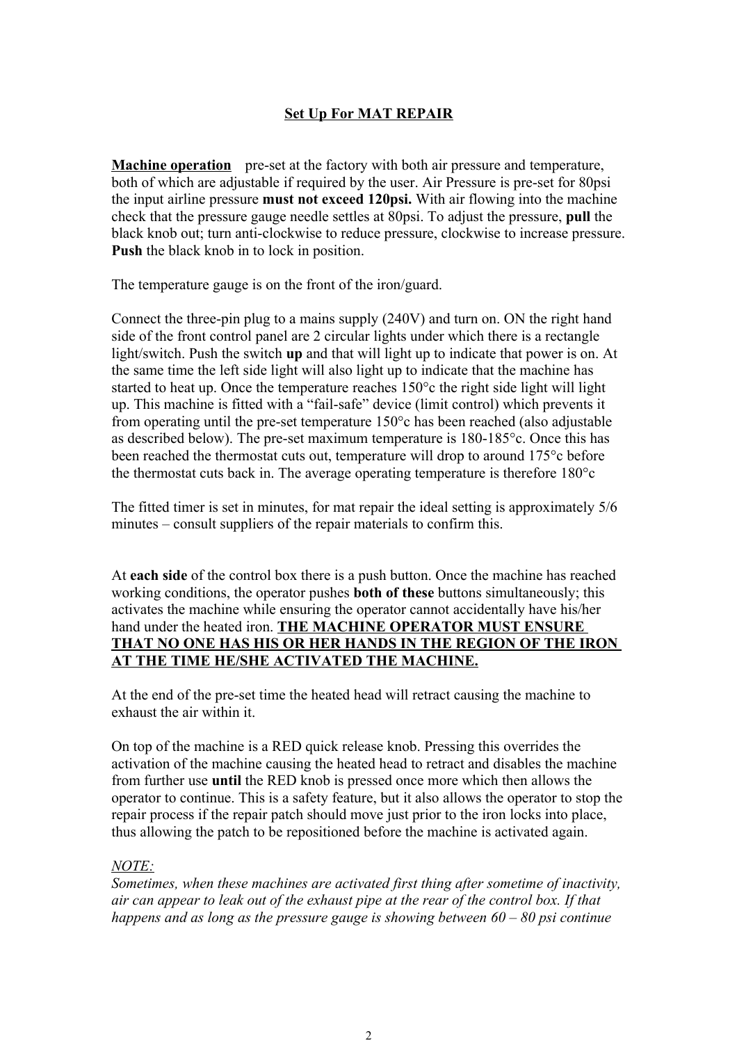# **Set Up For MAT REPAIR**

**Machine operation** pre-set at the factory with both air pressure and temperature, both of which are adjustable if required by the user. Air Pressure is pre-set for 80psi the input airline pressure **must not exceed 120psi.** With air flowing into the machine check that the pressure gauge needle settles at 80psi. To adjust the pressure, **pull** the black knob out; turn anti-clockwise to reduce pressure, clockwise to increase pressure. **Push** the black knob in to lock in position.

The temperature gauge is on the front of the iron/guard.

Connect the three-pin plug to a mains supply (240V) and turn on. ON the right hand side of the front control panel are 2 circular lights under which there is a rectangle light/switch. Push the switch **up** and that will light up to indicate that power is on. At the same time the left side light will also light up to indicate that the machine has started to heat up. Once the temperature reaches 150°c the right side light will light up. This machine is fitted with a "fail-safe" device (limit control) which prevents it from operating until the pre-set temperature 150°c has been reached (also adjustable as described below). The pre-set maximum temperature is 180-185°c. Once this has been reached the thermostat cuts out, temperature will drop to around 175°c before the thermostat cuts back in. The average operating temperature is therefore 180°c

The fitted timer is set in minutes, for mat repair the ideal setting is approximately 5/6 minutes – consult suppliers of the repair materials to confirm this.

At **each side** of the control box there is a push button. Once the machine has reached working conditions, the operator pushes **both of these** buttons simultaneously; this activates the machine while ensuring the operator cannot accidentally have his/her hand under the heated iron. **THE MACHINE OPERATOR MUST ENSURE THAT NO ONE HAS HIS OR HER HANDS IN THE REGION OF THE IRON AT THE TIME HE/SHE ACTIVATED THE MACHINE.**

At the end of the pre-set time the heated head will retract causing the machine to exhaust the air within it.

On top of the machine is a RED quick release knob. Pressing this overrides the activation of the machine causing the heated head to retract and disables the machine from further use **until** the RED knob is pressed once more which then allows the operator to continue. This is a safety feature, but it also allows the operator to stop the repair process if the repair patch should move just prior to the iron locks into place, thus allowing the patch to be repositioned before the machine is activated again.

### *NOTE:*

*Sometimes, when these machines are activated first thing after sometime of inactivity, air can appear to leak out of the exhaust pipe at the rear of the control box. If that happens and as long as the pressure gauge is showing between 60 – 80 psi continue*